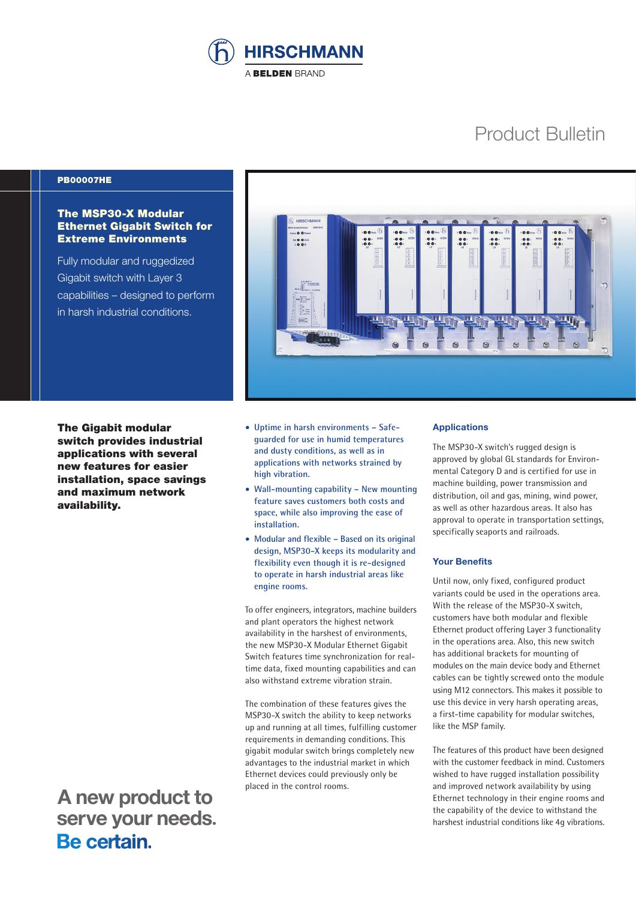

# Product Bulletin

## PB00007HE

## The MSP30-X Modular Ethernet Gigabit Switch for Extreme Environments

Fully modular and ruggedized Gigabit switch with Layer 3 capabilities – designed to perform in harsh industrial conditions.



**The Gigabit modular** switch provides industrial applications with several new features for easier installation, space savings and maximum network availability.

• **Uptime in harsh environments – Safeguarded for use in humid temperatures and dusty conditions, as well as in applications with networks strained by high vibration.**

- **Wall-mounting capability New mounting feature saves customers both costs and space, while also improving the ease of installation.**
- **Modular and flexible Based on its original design, MSP30-X keeps its modularity and flexibility even though it is re-designed to operate in harsh industrial areas like engine rooms.**

To offer engineers, integrators, machine builders and plant operators the highest network availability in the harshest of environments, the new MSP30-X Modular Ethernet Gigabit Switch features time synchronization for realtime data, fixed mounting capabilities and can also withstand extreme vibration strain.

The combination of these features gives the MSP30-X switch the ability to keep networks up and running at all times, fulfilling customer requirements in demanding conditions. This gigabit modular switch brings completely new advantages to the industrial market in which Ethernet devices could previously only be placed in the control rooms.

## **Applications**

The MSP30-X switch's rugged design is approved by global GL standards for Environmental Category D and is certified for use in machine building, power transmission and distribution, oil and gas, mining, wind power, as well as other hazardous areas. It also has approval to operate in transportation settings, specifically seaports and railroads.

#### **Your Benefits**

Until now, only fixed, configured product variants could be used in the operations area. With the release of the MSP30-X switch, customers have both modular and flexible Ethernet product offering Layer 3 functionality in the operations area. Also, this new switch has additional brackets for mounting of modules on the main device body and Ethernet cables can be tightly screwed onto the module using M12 connectors. This makes it possible to use this device in very harsh operating areas, a first-time capability for modular switches, like the MSP family.

The features of this product have been designed with the customer feedback in mind. Customers wished to have rugged installation possibility and improved network availability by using Ethernet technology in their engine rooms and the capability of the device to withstand the harshest industrial conditions like 4g vibrations.

 **A new product to serve your needs.**<br>**Be certain**.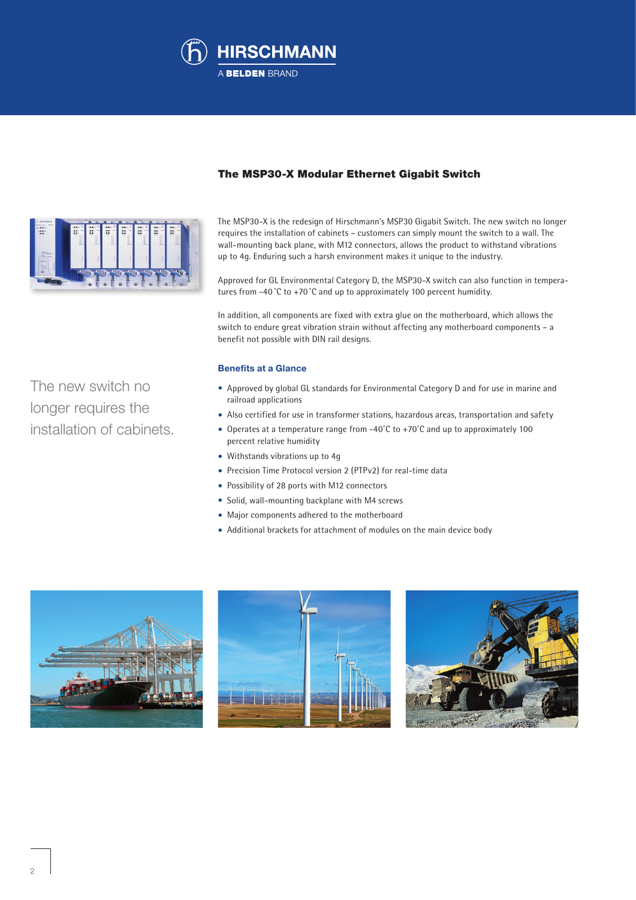



The new switch no

longer requires the

installation of cabinets.

# The MSP30-X Modular Ethernet Gigabit Switch

The MSP30-X is the redesign of Hirschmann's MSP30 Gigabit Switch. The new switch no longer requires the installation of cabinets – customers can simply mount the switch to a wall. The wall-mounting back plane, with M12 connectors, allows the product to withstand vibrations up to 4g. Enduring such a harsh environment makes it unique to the industry.

Approved for GL Environmental Category D, the MSP30-X switch can also function in temperatures from -40˚C to +70˚C and up to approximately 100 percent humidity.

In addition, all components are fixed with extra glue on the motherboard, which allows the switch to endure great vibration strain without affecting any motherboard components – a benefit not possible with DIN rail designs.

## **Benefits at a Glance**

- Approved by global GL standards for Environmental Category D and for use in marine and railroad applications
- Also certified for use in transformer stations, hazardous areas, transportation and safety
- Operates at a temperature range from -40˚C to +70˚C and up to approximately 100 percent relative humidity
- Withstands vibrations up to 4g
- Precision Time Protocol version 2 (PTPv2) for real-time data
- Possibility of 28 ports with M12 connectors
- Solid, wall-mounting backplane with M4 screws
- Major components adhered to the motherboard
- Additional brackets for attachment of modules on the main device body





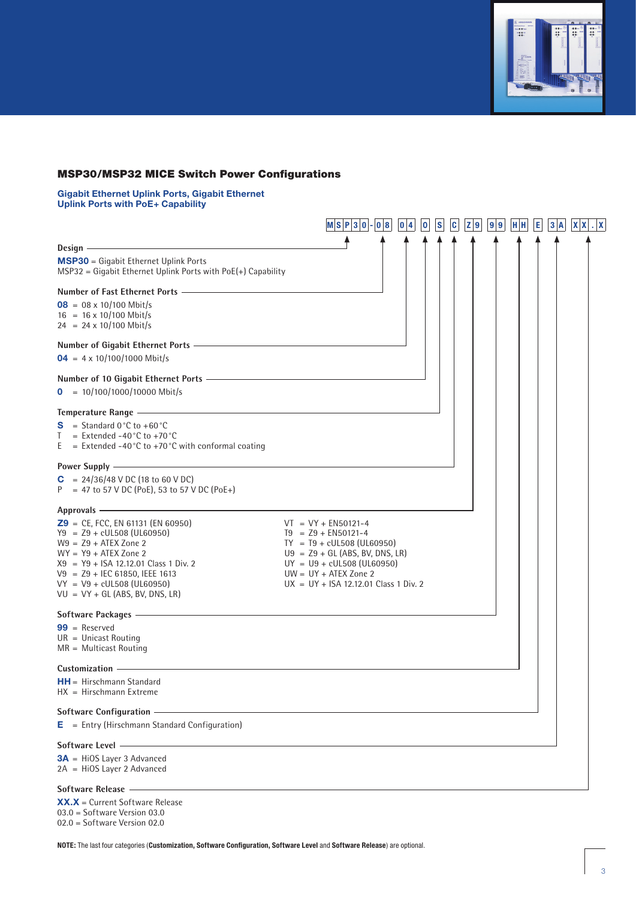

# MSP30/MSP32 MICE Switch Power Configurations

**Gigabit Ethernet Uplink Ports, Gigabit Ethernet Uplink Ports with PoE+ Capability**

|                                                                                                                                                                                                                                                                                                                                | $ M S P 3 0 - 0 8 $<br> 0 4                                                                                                                                                                                              | s <br> 0 | c | Z 9 | 9 9 | H H | E | 3 A | $ X $ $ X $ |
|--------------------------------------------------------------------------------------------------------------------------------------------------------------------------------------------------------------------------------------------------------------------------------------------------------------------------------|--------------------------------------------------------------------------------------------------------------------------------------------------------------------------------------------------------------------------|----------|---|-----|-----|-----|---|-----|-------------|
|                                                                                                                                                                                                                                                                                                                                |                                                                                                                                                                                                                          |          |   |     |     |     |   |     |             |
| Design –<br><b>MSP30</b> = Gigabit Ethernet Uplink Ports<br>$MSP32 = Gigabit Ethernet Uplink Ports with PoE(+) Capability$                                                                                                                                                                                                     |                                                                                                                                                                                                                          |          |   |     |     |     |   |     |             |
| Number of Fast Ethernet Ports <b>Constant Constant Constant Constant Constant Constant Constant Constant Constant</b>                                                                                                                                                                                                          |                                                                                                                                                                                                                          |          |   |     |     |     |   |     |             |
| $08 = 08 \times 10/100$ Mbit/s<br>$16 = 16 \times 10/100$ Mbit/s<br>$24 = 24 \times 10/100$ Mbit/s                                                                                                                                                                                                                             |                                                                                                                                                                                                                          |          |   |     |     |     |   |     |             |
| Number of Gigabit Ethernet Ports - The Context of Gigabit Ethernet Ports - The Context of Gigabit Ethernet Ports - The Context of Gigabit Ethernet Ports - The Context of Gigabit Ethernet Ports - The Context of Gigabit Ethe<br>$04 = 4 \times 10/100/1000$ Mbit/s                                                           |                                                                                                                                                                                                                          |          |   |     |     |     |   |     |             |
| Number of 10 Gigabit Ethernet Ports - The Context of the Context of the Context of the Context of the Context of the Context of the Context of the Context of the Context of the Context of the Context of the Context of the<br>$\theta = 10/100/1000/10000$ Mbit/s                                                           |                                                                                                                                                                                                                          |          |   |     |     |     |   |     |             |
| Temperature Range <u>- and the contract of the contract of the contract of the contract of the contract of the contract of the contract of the contract of the contract of the contract of the contract of the contract of the c</u>                                                                                           |                                                                                                                                                                                                                          |          |   |     |     |     |   |     |             |
| $S =$ Standard 0 °C to +60 °C<br>T.<br>$=$ Extended -40 $^{\circ}$ C to +70 $^{\circ}$ C<br>E = Extended -40 °C to +70 °C with conformal coating                                                                                                                                                                               |                                                                                                                                                                                                                          |          |   |     |     |     |   |     |             |
| Power Supply <u>experience and the contract of the contract of the contract of the contract of the contract of the contract of the contract of the contract of the contract of the contract of the contract of the contract of t</u><br>$C = 24/36/48$ V DC (18 to 60 V DC)<br>$P = 47$ to 57 V DC (PoE), 53 to 57 V DC (PoE+) |                                                                                                                                                                                                                          |          |   |     |     |     |   |     |             |
| <u> 1989 - Johann Stein, mars an de Brasilia (b. 1989)</u><br>Approvals -                                                                                                                                                                                                                                                      |                                                                                                                                                                                                                          |          |   |     |     |     |   |     |             |
| $29 = CE$ , FCC, EN 61131 (EN 60950)<br>$Y9 = Z9 + cUL508 (UL60950)$<br>$W9 = Z9 + ATeX$ Zone 2<br>$WY = Y9 + ATEX$ Zone 2<br>$X9 = Y9 + ISA$ 12.12.01 Class 1 Div. 2<br>$V9 = Z9 + IEC 61850, IEEE 1613$<br>$VY = V9 + cUL508 (UL60950)$<br>$VU = VY + GL(ABS, BV, DNS, LR)$                                                  | $VT = VY + EN50121-4$<br>$T9 = Z9 + EN50121-4$<br>$TY = T9 + cUL508 (UL60950)$<br>$U9 = Z9 + GL(ABS, BV, DNS, LR)$<br>$UY = U9 + cUL508 (UL60950)$<br>$UW = UY + ATEX$ Zone 2<br>$UX = UY + ISA$ 12.12.01 Class 1 Div. 2 |          |   |     |     |     |   |     |             |
|                                                                                                                                                                                                                                                                                                                                |                                                                                                                                                                                                                          |          |   |     |     |     |   |     |             |
| $99 =$ Reserved<br>$UR = Unicast Routing$<br>$MR = Multicast Routing$                                                                                                                                                                                                                                                          |                                                                                                                                                                                                                          |          |   |     |     |     |   |     |             |
| Customization -                                                                                                                                                                                                                                                                                                                |                                                                                                                                                                                                                          |          |   |     |     |     |   |     |             |
| $HH = Hirschmann Standard$<br>$HX = Hirschmann Extreme$                                                                                                                                                                                                                                                                        |                                                                                                                                                                                                                          |          |   |     |     |     |   |     |             |
| <b>Software Configuration</b>                                                                                                                                                                                                                                                                                                  |                                                                                                                                                                                                                          |          |   |     |     |     |   |     |             |
| $E$ = Entry (Hirschmann Standard Configuration)                                                                                                                                                                                                                                                                                |                                                                                                                                                                                                                          |          |   |     |     |     |   |     |             |
| Software Level -                                                                                                                                                                                                                                                                                                               |                                                                                                                                                                                                                          |          |   |     |     |     |   |     |             |
| $3A$ = HiOS Layer 3 Advanced<br>2A = HiOS Layer 2 Advanced                                                                                                                                                                                                                                                                     |                                                                                                                                                                                                                          |          |   |     |     |     |   |     |             |
| Software Release -                                                                                                                                                                                                                                                                                                             |                                                                                                                                                                                                                          |          |   |     |     |     |   |     |             |

**XX.X** = Current Software Release 03.0 = Software Version 03.0 02.0 = Software Version 02.0

**NOTE:** The last four categories (**Customization, Software Configuration, Software Level** and **Software Release**) are optional.